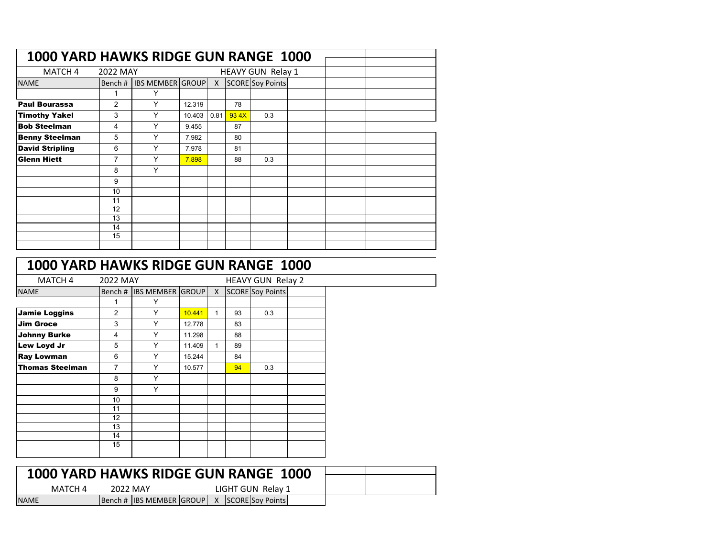| 1000 YARD HAWKS RIDGE GUN RANGE 1000 |                |                           |        |      |       |                         |  |  |
|--------------------------------------|----------------|---------------------------|--------|------|-------|-------------------------|--|--|
| MATCH 4                              |                |                           |        |      |       |                         |  |  |
| <b>NAME</b>                          | Bench #        | <b>IBS MEMBER GROUP X</b> |        |      |       | <b>SCORE</b> Soy Points |  |  |
|                                      |                | Y                         |        |      |       |                         |  |  |
| <b>Paul Bourassa</b>                 | $\overline{2}$ | Υ                         | 12.319 |      | 78    |                         |  |  |
| <b>Timothy Yakel</b>                 | 3              | Y                         | 10.403 | 0.81 | 93 4X | 0.3                     |  |  |
| <b>Bob Steelman</b>                  | 4              | Υ                         | 9.455  |      | 87    |                         |  |  |
| <b>Benny Steelman</b>                | 5              | Υ                         | 7.982  |      | 80    |                         |  |  |
| <b>David Stripling</b>               | 6              | Υ                         | 7.978  |      | 81    |                         |  |  |
| <b>Glenn Hiett</b>                   | 7              | Υ                         | 7.898  |      | 88    | 0.3                     |  |  |
|                                      | 8              | Y                         |        |      |       |                         |  |  |
|                                      | 9              |                           |        |      |       |                         |  |  |
|                                      | 10             |                           |        |      |       |                         |  |  |
|                                      | 11             |                           |        |      |       |                         |  |  |
|                                      | 12             |                           |        |      |       |                         |  |  |
|                                      | 13             |                           |        |      |       |                         |  |  |
|                                      | 14             |                           |        |      |       |                         |  |  |
|                                      | 15             |                           |        |      |       |                         |  |  |
|                                      |                |                           |        |      |       |                         |  |  |

| <b>1000 YARD HAWKS RIDGE GUN RANGE 1000</b> |                |                          |        |              |    |                         |  |
|---------------------------------------------|----------------|--------------------------|--------|--------------|----|-------------------------|--|
| MATCH 4                                     | 2022 MAY       |                          |        |              |    | HEAVY GUN Relay 2       |  |
| <b>NAME</b>                                 |                | Bench # IBS MEMBER GROUP |        | $\mathsf{X}$ |    | <b>SCORE</b> Soy Points |  |
|                                             | 1              | Y                        |        |              |    |                         |  |
| <b>Jamie Loggins</b>                        | $\overline{2}$ | Υ                        | 10.441 | 1            | 93 | 0.3                     |  |
| <b>Jim Groce</b>                            | 3              | Υ                        | 12.778 |              | 83 |                         |  |
| <b>Johnny Burke</b>                         | 4              | Y                        | 11.298 |              | 88 |                         |  |
| Lew Loyd Jr                                 | 5              | Υ                        | 11.409 | $\mathbf{1}$ | 89 |                         |  |
| <b>Ray Lowman</b>                           | 6              | Υ                        | 15.244 |              | 84 |                         |  |
| <b>Thomas Steelman</b>                      | 7              | Υ                        | 10.577 |              | 94 | 0.3                     |  |
|                                             | 8              | Y                        |        |              |    |                         |  |
|                                             | 9              | Υ                        |        |              |    |                         |  |
|                                             | 10             |                          |        |              |    |                         |  |
|                                             | 11             |                          |        |              |    |                         |  |
|                                             | 12             |                          |        |              |    |                         |  |
|                                             | 13             |                          |        |              |    |                         |  |
|                                             | 14             |                          |        |              |    |                         |  |
|                                             | 15             |                          |        |              |    |                         |  |
|                                             |                |                          |        |              |    |                         |  |

| <b>1000 YARD HAWKS RIDGE GUN RANGE 1000</b> |          |                                               |  |
|---------------------------------------------|----------|-----------------------------------------------|--|
|                                             |          |                                               |  |
| MATCH 4                                     | 2022 MAY | LIGHT GUN Relay 1                             |  |
| <b>NAME</b>                                 |          | Bench # IBS MEMBER GROUP   X SCORES OV Points |  |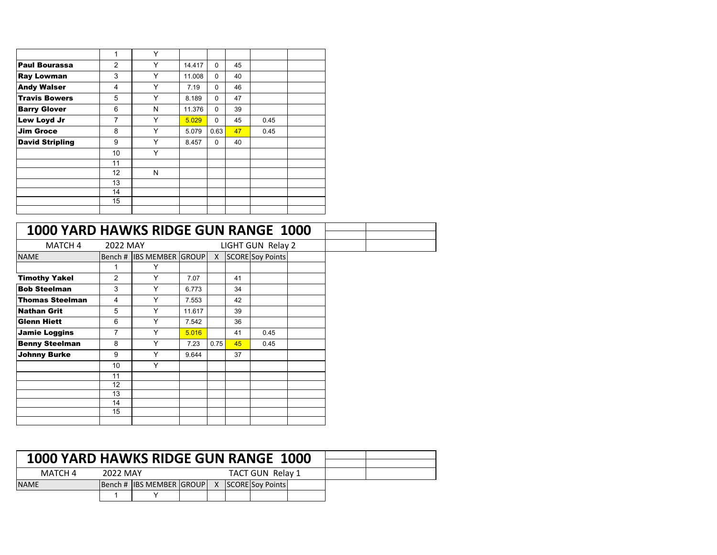|                        | 1              | Y |        |          |    |      |  |
|------------------------|----------------|---|--------|----------|----|------|--|
| <b>Paul Bourassa</b>   | 2              | Υ | 14.417 | $\Omega$ | 45 |      |  |
| <b>Ray Lowman</b>      | 3              | Y | 11.008 | $\Omega$ | 40 |      |  |
| <b>Andy Walser</b>     | 4              | Y | 7.19   | $\Omega$ | 46 |      |  |
| <b>Travis Bowers</b>   | 5              | Y | 8.189  | $\Omega$ | 47 |      |  |
| <b>Barry Glover</b>    | 6              | N | 11.376 | $\Omega$ | 39 |      |  |
| Lew Loyd Jr            | $\overline{7}$ | Y | 5.029  | $\Omega$ | 45 | 0.45 |  |
| <b>Jim Groce</b>       | 8              | Υ | 5.079  | 0.63     | 47 | 0.45 |  |
| <b>David Stripling</b> | 9              | Y | 8.457  | $\Omega$ | 40 |      |  |
|                        | 10             | Y |        |          |    |      |  |
|                        | 11             |   |        |          |    |      |  |
|                        | 12             | N |        |          |    |      |  |
|                        | 13             |   |        |          |    |      |  |
|                        | 14             |   |        |          |    |      |  |
|                        | 15             |   |        |          |    |      |  |
|                        |                |   |        |          |    |      |  |

| 1000 YARD HAWKS RIDGE GUN RANGE 1000 |                               |                          |        |                |    |                         |  |  |  |  |  |  |
|--------------------------------------|-------------------------------|--------------------------|--------|----------------|----|-------------------------|--|--|--|--|--|--|
| MATCH 4                              | 2022 MAY<br>LIGHT GUN Relay 2 |                          |        |                |    |                         |  |  |  |  |  |  |
| <b>NAME</b>                          |                               | Bench # IBS MEMBER GROUP |        | $\overline{X}$ |    | <b>SCORE</b> Soy Points |  |  |  |  |  |  |
|                                      | 1                             | Y                        |        |                |    |                         |  |  |  |  |  |  |
| <b>Timothy Yakel</b>                 | 2                             | Y                        | 7.07   |                | 41 |                         |  |  |  |  |  |  |
| <b>Bob Steelman</b>                  | 3                             | Υ                        | 6.773  |                | 34 |                         |  |  |  |  |  |  |
| <b>Thomas Steelman</b>               | 4                             | Y                        | 7.553  |                | 42 |                         |  |  |  |  |  |  |
| <b>Nathan Grit</b>                   | 5                             | Y                        | 11.617 |                | 39 |                         |  |  |  |  |  |  |
| <b>Glenn Hiett</b>                   | 6                             | Υ                        | 7.542  |                | 36 |                         |  |  |  |  |  |  |
| <b>Jamie Loggins</b>                 | $\overline{7}$                | Υ                        | 5.016  |                | 41 | 0.45                    |  |  |  |  |  |  |
| <b>Benny Steelman</b>                | 8                             | Y                        | 7.23   | 0.75           | 45 | 0.45                    |  |  |  |  |  |  |
| <b>Johnny Burke</b>                  | 9                             | Υ                        | 9.644  |                | 37 |                         |  |  |  |  |  |  |
|                                      | 10                            | Υ                        |        |                |    |                         |  |  |  |  |  |  |
|                                      | 11                            |                          |        |                |    |                         |  |  |  |  |  |  |
|                                      | 12                            |                          |        |                |    |                         |  |  |  |  |  |  |
|                                      | 13                            |                          |        |                |    |                         |  |  |  |  |  |  |
|                                      | 14                            |                          |        |                |    |                         |  |  |  |  |  |  |
|                                      | 15                            |                          |        |                |    |                         |  |  |  |  |  |  |
|                                      |                               |                          |        |                |    |                         |  |  |  |  |  |  |

| 1000 YARD HAWKS RIDGE GUN RANGE 1000 |          |                           |  |                         |  |  |
|--------------------------------------|----------|---------------------------|--|-------------------------|--|--|
| MATCH 4                              | 2022 MAY |                           |  | <b>TACT GUN Relay 1</b> |  |  |
| <b>NAME</b>                          |          | Bench # IIBS MEMBER GROUP |  | X SCORE Soy Points      |  |  |
|                                      |          |                           |  |                         |  |  |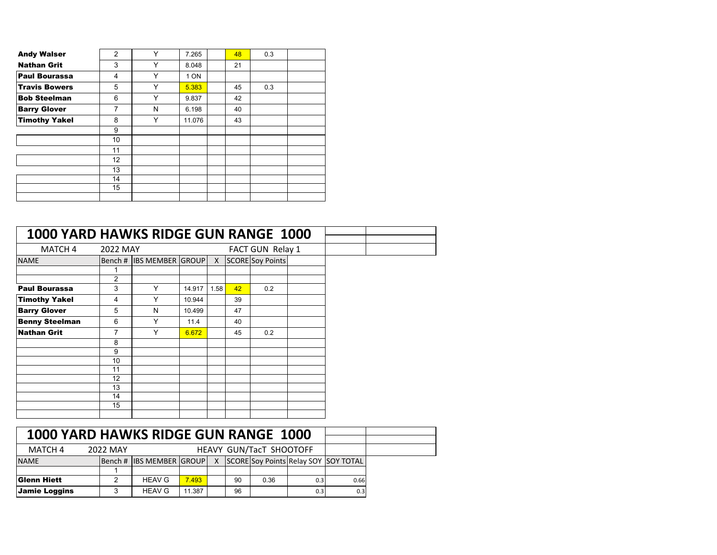| <b>Andy Walser</b>   | 2  | Y | 7.265  | 48 | 0.3 |  |
|----------------------|----|---|--------|----|-----|--|
| <b>Nathan Grit</b>   | 3  | Y | 8.048  | 21 |     |  |
| Paul Bourassa        | 4  | Y | 1 ON   |    |     |  |
| <b>Travis Bowers</b> | 5  | Υ | 5.383  | 45 | 0.3 |  |
| <b>Bob Steelman</b>  | 6  | Y | 9.837  | 42 |     |  |
| <b>Barry Glover</b>  | 7  | N | 6.198  | 40 |     |  |
| <b>Timothy Yakel</b> | 8  | Υ | 11.076 | 43 |     |  |
|                      | 9  |   |        |    |     |  |
|                      | 10 |   |        |    |     |  |
|                      | 11 |   |        |    |     |  |
|                      | 12 |   |        |    |     |  |
|                      | 13 |   |        |    |     |  |
|                      | 14 |   |        |    |     |  |
|                      | 15 |   |        |    |     |  |
|                      |    |   |        |    |     |  |

| 1000 YARD HAWKS RIDGE GUN RANGE 1000 |    |                                |        |      |    |                         |  |  |
|--------------------------------------|----|--------------------------------|--------|------|----|-------------------------|--|--|
| MATCH 4                              |    | 2022 MAY<br>FACT GUN Relay 1   |        |      |    |                         |  |  |
| <b>NAME</b>                          |    | Bench #  IBS MEMBER  GROUP   X |        |      |    | <b>SCORE</b> Soy Points |  |  |
|                                      |    |                                |        |      |    |                         |  |  |
|                                      | 2  |                                |        |      |    |                         |  |  |
| <b>Paul Bourassa</b>                 | 3  | Y                              | 14.917 | 1.58 | 42 | 0.2                     |  |  |
| <b>Timothy Yakel</b>                 | 4  | Y                              | 10.944 |      | 39 |                         |  |  |
| <b>Barry Glover</b>                  | 5  | N                              | 10.499 |      | 47 |                         |  |  |
| <b>Benny Steelman</b>                | 6  | Υ                              | 11.4   |      | 40 |                         |  |  |
| <b>Nathan Grit</b>                   | 7  | Υ                              | 6.672  |      | 45 | 0.2                     |  |  |
|                                      | 8  |                                |        |      |    |                         |  |  |
|                                      | 9  |                                |        |      |    |                         |  |  |
|                                      | 10 |                                |        |      |    |                         |  |  |
|                                      | 11 |                                |        |      |    |                         |  |  |
|                                      | 12 |                                |        |      |    |                         |  |  |
|                                      | 13 |                                |        |      |    |                         |  |  |
|                                      | 14 |                                |        |      |    |                         |  |  |
|                                      | 15 |                                |        |      |    |                         |  |  |
|                                      |    |                                |        |      |    |                         |  |  |

| <b>1000 YARD HAWKS RIDGE GUN RANGE 1000</b> |          |                              |        |    |                         |     |                                      |
|---------------------------------------------|----------|------------------------------|--------|----|-------------------------|-----|--------------------------------------|
| MATCH 4                                     | 2022 MAY |                              |        |    | HEAVY GUN/TacT SHOOTOFF |     |                                      |
| <b>NAME</b>                                 |          | Bench # IBS MEMBER GROUP   X |        |    |                         |     | SCORE Soy Points Relay SOY SOY TOTAL |
|                                             |          |                              |        |    |                         |     |                                      |
| <b>Glenn Hiett</b>                          |          | <b>HEAV G</b>                | 7.493  | 90 | 0.36                    | 0.3 | 0.66                                 |
| Jamie Loggins                               |          | <b>HEAV G</b>                | 11.387 | 96 |                         | 0.3 | 0.3                                  |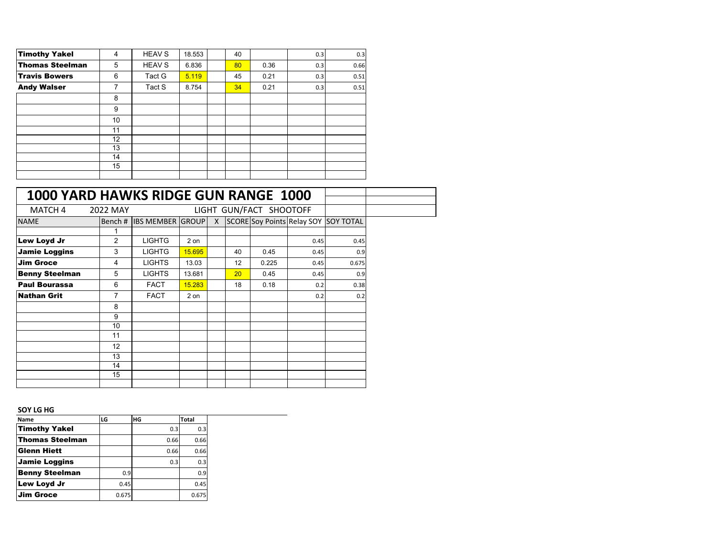| <b>Timothy Yakel</b>   | 4                 | <b>HEAV S</b> | 18.553 | 40 |      | 0.3 | 0.3  |
|------------------------|-------------------|---------------|--------|----|------|-----|------|
| <b>Thomas Steelman</b> | 5                 | <b>HEAV S</b> | 6.836  | 80 | 0.36 | 0.3 | 0.66 |
| <b>Travis Bowers</b>   | 6                 | Tact G        | 5.119  | 45 | 0.21 | 0.3 | 0.51 |
| <b>Andy Walser</b>     | 7                 | Tact S        | 8.754  | 34 | 0.21 | 0.3 | 0.51 |
|                        | 8                 |               |        |    |      |     |      |
|                        | 9                 |               |        |    |      |     |      |
|                        | 10                |               |        |    |      |     |      |
|                        | 11                |               |        |    |      |     |      |
|                        | $12 \overline{ }$ |               |        |    |      |     |      |
|                        | 13                |               |        |    |      |     |      |
|                        | 14                |               |        |    |      |     |      |
|                        | 15                |               |        |    |      |     |      |
|                        |                   |               |        |    |      |     |      |

| <b>1000 YARD HAWKS RIDGE GUN RANGE 1000</b> |                   |                          |        |              |                 |                         |      |                                      |
|---------------------------------------------|-------------------|--------------------------|--------|--------------|-----------------|-------------------------|------|--------------------------------------|
| MATCH 4                                     | 2022 MAY          |                          |        |              |                 | LIGHT GUN/FACT SHOOTOFF |      |                                      |
| <b>NAME</b>                                 |                   | Bench # IBS MEMBER GROUP |        | $\mathsf{X}$ |                 |                         |      | SCORE Soy Points Relay SOY SOY TOTAL |
|                                             | 1                 |                          |        |              |                 |                         |      |                                      |
| Lew Loyd Jr                                 | 2                 | <b>LIGHTG</b>            | $2$ on |              |                 |                         | 0.45 | 0.45                                 |
| <b>Jamie Loggins</b>                        | 3                 | <b>LIGHTG</b>            | 15.695 |              | 40              | 0.45                    | 0.45 | 0.9                                  |
| <b>Jim Groce</b>                            | 4                 | <b>LIGHTS</b>            | 13.03  |              | 12              | 0.225                   | 0.45 | 0.675                                |
| <b>Benny Steelman</b>                       | 5                 | <b>LIGHTS</b>            | 13.681 |              | 20 <sup>°</sup> | 0.45                    | 0.45 | 0.9                                  |
| <b>Paul Bourassa</b>                        | 6                 | <b>FACT</b>              | 15.283 |              | 18              | 0.18                    | 0.2  | 0.38                                 |
| <b>Nathan Grit</b>                          | 7                 | <b>FACT</b>              | 2 on   |              |                 |                         | 0.2  | 0.2                                  |
|                                             | 8                 |                          |        |              |                 |                         |      |                                      |
|                                             | 9                 |                          |        |              |                 |                         |      |                                      |
|                                             | 10                |                          |        |              |                 |                         |      |                                      |
|                                             | 11                |                          |        |              |                 |                         |      |                                      |
|                                             | $12 \overline{ }$ |                          |        |              |                 |                         |      |                                      |
|                                             | 13                |                          |        |              |                 |                         |      |                                      |
|                                             | 14                |                          |        |              |                 |                         |      |                                      |
|                                             | 15                |                          |        |              |                 |                         |      |                                      |
|                                             |                   |                          |        |              |                 |                         |      |                                      |

## **SOY LG HG**

| Name                   | LG    | HG   | Total |
|------------------------|-------|------|-------|
| <b>Timothy Yakel</b>   |       | 0.3  | 0.3   |
| <b>Thomas Steelman</b> |       | 0.66 | 0.66  |
| <b>Glenn Hiett</b>     |       | 0.66 | 0.66  |
| <b>Jamie Loggins</b>   |       | 0.3  | 0.3   |
| <b>Benny Steelman</b>  | 0.9   |      | 0.9   |
| Lew Loyd Jr            | 0.45  |      | 0.45  |
| <b>Jim Groce</b>       | 0.675 |      | 0.675 |